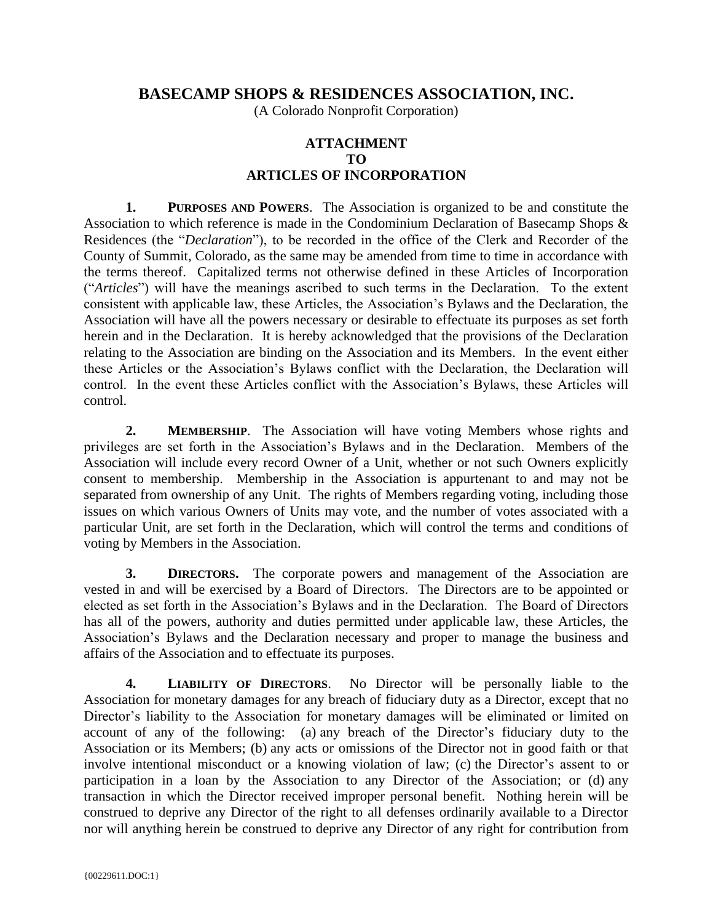## **BASECAMP SHOPS & RESIDENCES ASSOCIATION, INC.**

(A Colorado Nonprofit Corporation)

## **ATTACHMENT TO ARTICLES OF INCORPORATION**

**1. PURPOSES AND POWERS**. The Association is organized to be and constitute the Association to which reference is made in the Condominium Declaration of Basecamp Shops & Residences (the "*Declaration*"), to be recorded in the office of the Clerk and Recorder of the County of Summit, Colorado, as the same may be amended from time to time in accordance with the terms thereof. Capitalized terms not otherwise defined in these Articles of Incorporation ("*Articles*") will have the meanings ascribed to such terms in the Declaration. To the extent consistent with applicable law, these Articles, the Association's Bylaws and the Declaration, the Association will have all the powers necessary or desirable to effectuate its purposes as set forth herein and in the Declaration. It is hereby acknowledged that the provisions of the Declaration relating to the Association are binding on the Association and its Members. In the event either these Articles or the Association's Bylaws conflict with the Declaration, the Declaration will control. In the event these Articles conflict with the Association's Bylaws, these Articles will control.

**2. MEMBERSHIP**. The Association will have voting Members whose rights and privileges are set forth in the Association's Bylaws and in the Declaration. Members of the Association will include every record Owner of a Unit, whether or not such Owners explicitly consent to membership. Membership in the Association is appurtenant to and may not be separated from ownership of any Unit. The rights of Members regarding voting, including those issues on which various Owners of Units may vote, and the number of votes associated with a particular Unit, are set forth in the Declaration, which will control the terms and conditions of voting by Members in the Association.

**3. DIRECTORS.** The corporate powers and management of the Association are vested in and will be exercised by a Board of Directors. The Directors are to be appointed or elected as set forth in the Association's Bylaws and in the Declaration. The Board of Directors has all of the powers, authority and duties permitted under applicable law, these Articles, the Association's Bylaws and the Declaration necessary and proper to manage the business and affairs of the Association and to effectuate its purposes.

**4. LIABILITY OF DIRECTORS**. No Director will be personally liable to the Association for monetary damages for any breach of fiduciary duty as a Director, except that no Director's liability to the Association for monetary damages will be eliminated or limited on account of any of the following: (a) any breach of the Director's fiduciary duty to the Association or its Members; (b) any acts or omissions of the Director not in good faith or that involve intentional misconduct or a knowing violation of law; (c) the Director's assent to or participation in a loan by the Association to any Director of the Association; or (d) any transaction in which the Director received improper personal benefit. Nothing herein will be construed to deprive any Director of the right to all defenses ordinarily available to a Director nor will anything herein be construed to deprive any Director of any right for contribution from